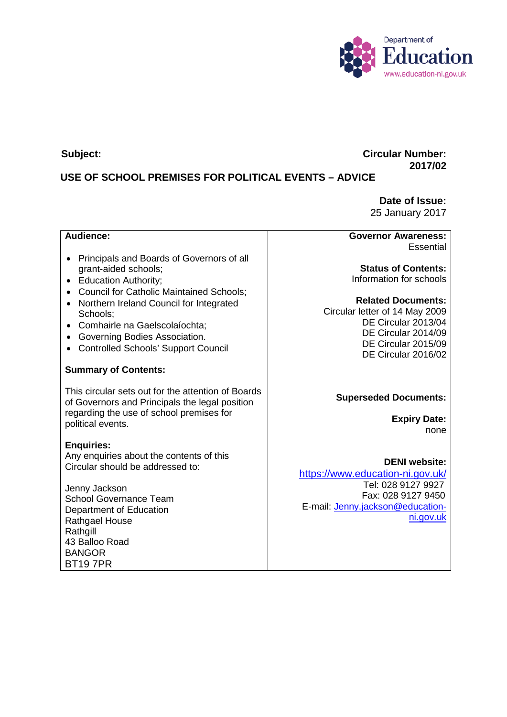

## **Subject: Circular Number: 2017/02**

# **USE OF SCHOOL PREMISES FOR POLITICAL EVENTS – ADVICE**

**Date of Issue:** 25 January 2017

## **Audience:**

- Principals and Boards of Governors of all grant-aided schools;
- Education Authority;
- Council for Catholic Maintained Schools;
- Northern Ireland Council for Integrated Schools;
- Comhairle na Gaelscolaíochta;
- Governing Bodies Association.
- Controlled Schools' Support Council

#### **Summary of Contents:**

This circular sets out for the attention of Boards of Governors and Principals the legal position regarding the use of school premises for political events.

#### **Enquiries:**

Any enquiries about the contents of this Circular should be addressed to:

Jenny Jackson School Governance Team Department of Education Rathgael House Rathgill 43 Balloo Road BANGOR BT19 7PR

**Governor Awareness:** Essential

**Status of Contents:** Information for schools

**Related Documents:** Circular letter of 14 May 2009 DE Circular 2013/04 DE Circular 2014/09 DE Circular 2015/09 DE Circular 2016/02

### **Superseded Documents:**

**Expiry Date:** none

**DENI website:** <https://www.education-ni.gov.uk/> Tel: 028 9127 9927 Fax: 028 9127 9450 E-mail: [Jenny.jackson@education](mailto:Jenny.jackson@education-ni.gov.uk)[ni.gov.uk](mailto:Jenny.jackson@education-ni.gov.uk)